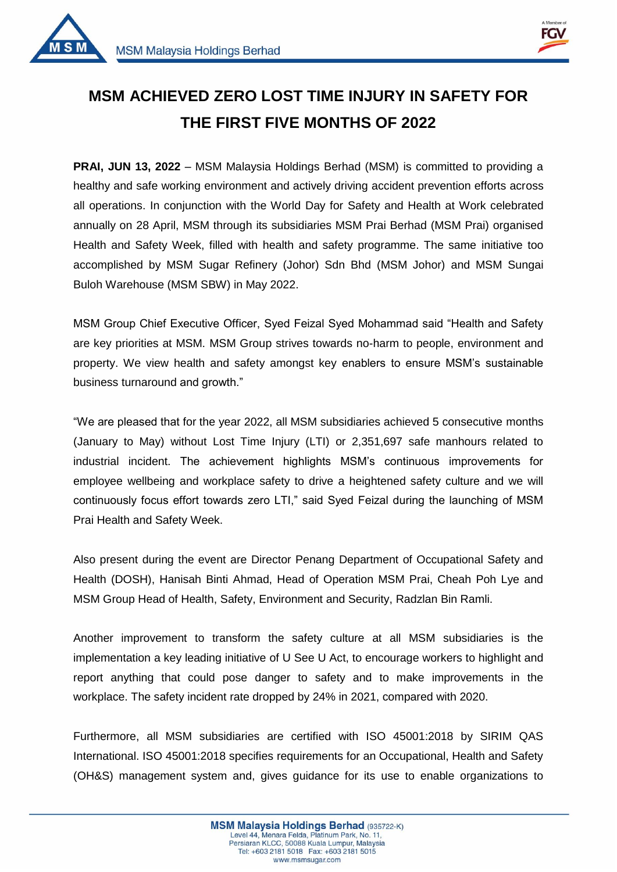



1

## **MSM ACHIEVED ZERO LOST TIME INJURY IN SAFETY FOR THE FIRST FIVE MONTHS OF 2022**

**PRAI, JUN 13, 2022** – MSM Malaysia Holdings Berhad (MSM) is committed to providing a healthy and safe working environment and actively driving accident prevention efforts across all operations. In conjunction with the World Day for Safety and Health at Work celebrated annually on 28 April, MSM through its subsidiaries MSM Prai Berhad (MSM Prai) organised Health and Safety Week, filled with health and safety programme. The same initiative too accomplished by MSM Sugar Refinery (Johor) Sdn Bhd (MSM Johor) and MSM Sungai Buloh Warehouse (MSM SBW) in May 2022.

MSM Group Chief Executive Officer, Syed Feizal Syed Mohammad said "Health and Safety are key priorities at MSM. MSM Group strives towards no-harm to people, environment and property. We view health and safety amongst key enablers to ensure MSM's sustainable business turnaround and growth."

"We are pleased that for the year 2022, all MSM subsidiaries achieved 5 consecutive months (January to May) without Lost Time Injury (LTI) or 2,351,697 safe manhours related to industrial incident. The achievement highlights MSM's continuous improvements for employee wellbeing and workplace safety to drive a heightened safety culture and we will continuously focus effort towards zero LTI," said Syed Feizal during the launching of MSM Prai Health and Safety Week.

Also present during the event are Director Penang Department of Occupational Safety and Health (DOSH), Hanisah Binti Ahmad, Head of Operation MSM Prai, Cheah Poh Lye and MSM Group Head of Health, Safety, Environment and Security, Radzlan Bin Ramli.

Another improvement to transform the safety culture at all MSM subsidiaries is the implementation a key leading initiative of U See U Act, to encourage workers to highlight and report anything that could pose danger to safety and to make improvements in the workplace. The safety incident rate dropped by 24% in 2021, compared with 2020.

Furthermore, all MSM subsidiaries are certified with ISO 45001:2018 by SIRIM QAS International. ISO 45001:2018 specifies requirements for an Occupational, Health and Safety (OH&S) management system and, gives guidance for its use to enable organizations to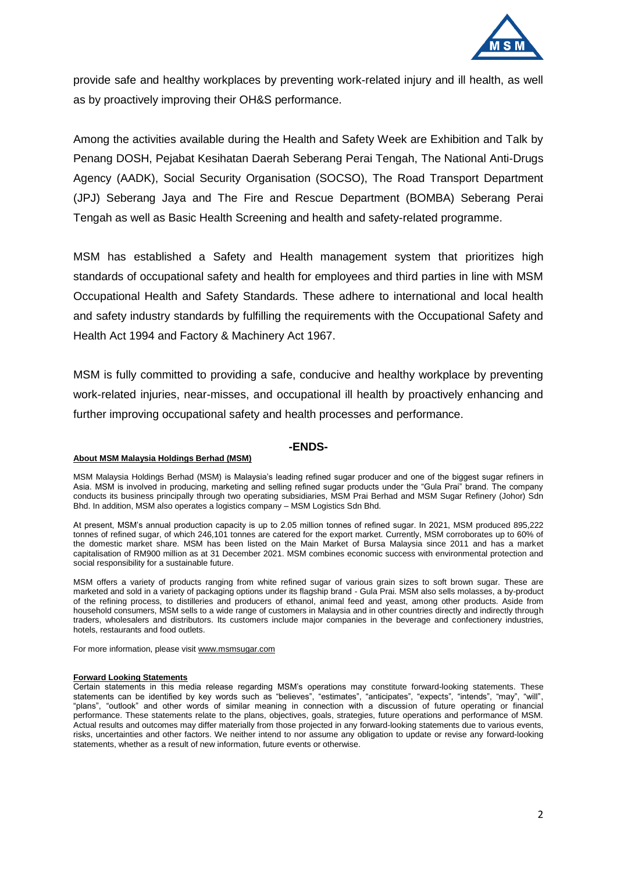

provide safe and healthy workplaces by preventing work-related injury and ill health, as well as by proactively improving their OH&S performance.

Among the activities available during the Health and Safety Week are Exhibition and Talk by Penang DOSH, Pejabat Kesihatan Daerah Seberang Perai Tengah, The National Anti-Drugs Agency (AADK), Social Security Organisation (SOCSO), The Road Transport Department (JPJ) Seberang Jaya and The Fire and Rescue Department (BOMBA) Seberang Perai Tengah as well as Basic Health Screening and health and safety-related programme.

MSM has established a Safety and Health management system that prioritizes high standards of occupational safety and health for employees and third parties in line with MSM Occupational Health and Safety Standards. These adhere to international and local health and safety industry standards by fulfilling the requirements with the Occupational Safety and Health Act 1994 and Factory & Machinery Act 1967.

MSM is fully committed to providing a safe, conducive and healthy workplace by preventing work-related injuries, near-misses, and occupational ill health by proactively enhancing and further improving occupational safety and health processes and performance.

## **-ENDS-**

## **About MSM Malaysia Holdings Berhad (MSM)**

MSM Malaysia Holdings Berhad (MSM) is Malaysia's leading refined sugar producer and one of the biggest sugar refiners in Asia. MSM is involved in producing, marketing and selling refined sugar products under the "Gula Prai" brand. The company conducts its business principally through two operating subsidiaries, MSM Prai Berhad and MSM Sugar Refinery (Johor) Sdn Bhd. In addition, MSM also operates a logistics company – MSM Logistics Sdn Bhd.

At present, MSM's annual production capacity is up to 2.05 million tonnes of refined sugar. In 2021, MSM produced 895,222 tonnes of refined sugar, of which 246,101 tonnes are catered for the export market. Currently, MSM corroborates up to 60% of the domestic market share. MSM has been listed on the Main Market of Bursa Malaysia since 2011 and has a market capitalisation of RM900 million as at 31 December 2021. MSM combines economic success with environmental protection and social responsibility for a sustainable future.

MSM offers a variety of products ranging from white refined sugar of various grain sizes to soft brown sugar. These are marketed and sold in a variety of packaging options under its flagship brand - Gula Prai. MSM also sells molasses, a by-product of the refining process, to distilleries and producers of ethanol, animal feed and yeast, among other products. Aside from household consumers, MSM sells to a wide range of customers in Malaysia and in other countries directly and indirectly through traders, wholesalers and distributors. Its customers include major companies in the beverage and confectionery industries, hotels, restaurants and food outlets.

For more information, please visi[t www.msmsugar.com](http://www.msmsugar.com/)

## **Forward Looking Statements**

Certain statements in this media release regarding MSM's operations may constitute forward-looking statements. These statements can be identified by key words such as "believes", "estimates", "anticipates", "expects", "intends", "may", "will", "plans", "outlook" and other words of similar meaning in connection with a discussion of future operating or financial performance. These statements relate to the plans, objectives, goals, strategies, future operations and performance of MSM. Actual results and outcomes may differ materially from those projected in any forward-looking statements due to various events, risks, uncertainties and other factors. We neither intend to nor assume any obligation to update or revise any forward-looking statements, whether as a result of new information, future events or otherwise.